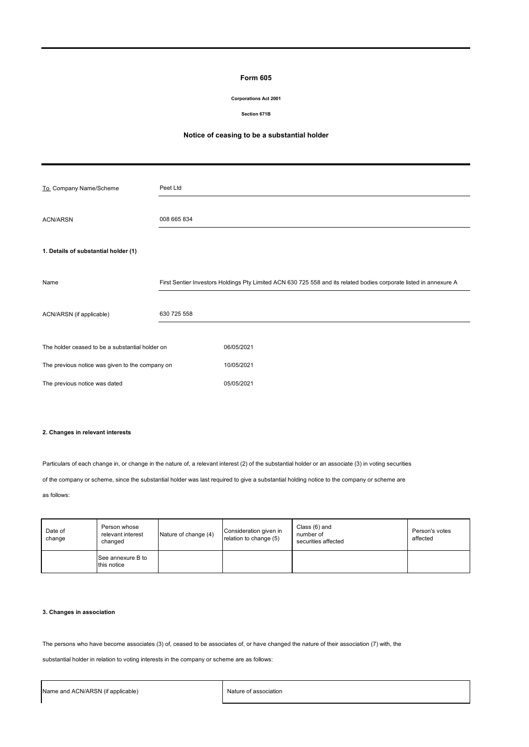#### **Form 605**

#### **Corporations Act 2001**

#### **Section 671B**

# **Notice of ceasing to be a substantial holder**

| To_Company Name/Scheme                          | Peet Ltd    |                                                                                                                    |
|-------------------------------------------------|-------------|--------------------------------------------------------------------------------------------------------------------|
| <b>ACN/ARSN</b>                                 | 008 665 834 |                                                                                                                    |
| 1. Details of substantial holder (1)            |             |                                                                                                                    |
| Name                                            |             | First Sentier Investors Holdings Pty Limited ACN 630 725 558 and its related bodies corporate listed in annexure A |
| ACN/ARSN (if applicable)                        | 630 725 558 |                                                                                                                    |
| The holder ceased to be a substantial holder on |             | 06/05/2021                                                                                                         |
| The previous notice was given to the company on |             | 10/05/2021                                                                                                         |
| The previous notice was dated                   |             | 05/05/2021                                                                                                         |

# **2. Changes in relevant interests**

Particulars of each change in, or change in the nature of, a relevant interest (2) of the substantial holder or an associate (3) in voting securities

of the company or scheme, since the substantial holder was last required to give a substantial holding notice to the company or scheme are

as follows:

| Date of<br>change | Person whose<br>relevant interest<br>changed | Nature of change (4) | Consideration given in<br>relation to change (5) | Class (6) and<br>number of<br>securities affected | Person's votes<br>affected |
|-------------------|----------------------------------------------|----------------------|--------------------------------------------------|---------------------------------------------------|----------------------------|
|                   | See annexure B to<br>this notice             |                      |                                                  |                                                   |                            |

# **3. Changes in association**

The persons who have become associates (3) of, ceased to be associates of, or have changed the nature of their association (7) with, the

substantial holder in relation to voting interests in the company or scheme are as follows: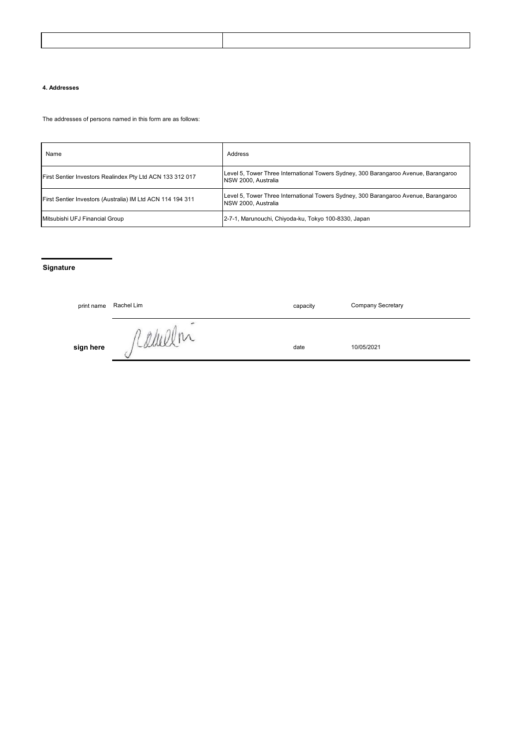#### **4. Addresses**

The addresses of persons named in this form are as follows:

| Name                                                       | Address                                                                                                           |
|------------------------------------------------------------|-------------------------------------------------------------------------------------------------------------------|
| First Sentier Investors Realindex Pty Ltd ACN 133 312 017  | Level 5, Tower Three International Towers Sydney, 300 Barangaroo Avenue, Barangaroo<br><b>NSW 2000. Australia</b> |
| First Sentier Investors (Australia) IM Ltd ACN 114 194 311 | Level 5, Tower Three International Towers Sydney, 300 Barangaroo Avenue, Barangaroo<br><b>NSW 2000. Australia</b> |
| Mitsubishi UFJ Financial Group                             | 2-7-1, Marunouchi, Chiyoda-ku, Tokyo 100-8330, Japan                                                              |

# **Signature**

| print name | Rachel Lim                              | capacity | <b>Company Secretary</b> |
|------------|-----------------------------------------|----------|--------------------------|
| sign here  | $\overline{\phantom{a}}$<br>in.<br>Came | date     | 10/05/2021               |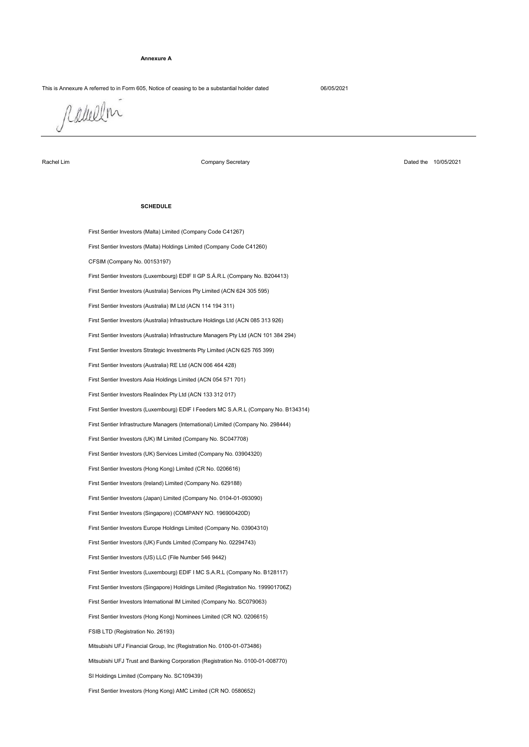#### **Annexure A**

# This is Annexure A referred to in Form 605, Notice of ceasing to be a substantial holder dated 06/05/2021

Rakelin

Rachel Lim

Company Secretary

Dated the 10/05/2021

#### **SCHEDULE**

First Sentier Investors (Hong Kong) AMC Limited (CR NO. 0580652) First Sentier Investors (Malta) Limited (Company Code C41267) First Sentier Infrastructure Managers (International) Limited (Company No. 298444) First Sentier Investors (UK) IM Limited (Company No. SC047708) First Sentier Investors Realindex Pty Ltd (ACN 133 312 017) First Sentier Investors (Malta) Holdings Limited (Company Code C41260) CFSIM (Company No. 00153197) First Sentier Investors (Luxembourg) EDIF I Feeders MC S.A.R.L (Company No. B134314) First Sentier Investors Asia Holdings Limited (ACN 054 571 701) First Sentier Investors (Luxembourg) EDIF II GP S.Á.R.L (Company No. B204413) First Sentier Investors (Australia) Services Pty Limited (ACN 624 305 595) First Sentier Investors (Australia) RE Ltd (ACN 006 464 428) First Sentier Investors (Australia) IM Ltd (ACN 114 194 311) First Sentier Investors Strategic Investments Pty Limited (ACN 625 765 399) First Sentier Investors (Australia) Infrastructure Holdings Ltd (ACN 085 313 926) First Sentier Investors (Australia) Infrastructure Managers Pty Ltd (ACN 101 384 294) First Sentier Investors (Singapore) Holdings Limited (Registration No. 199901706Z) First Sentier Investors (Luxembourg) EDIF I MC S.A.R.L (Company No. B128117) Mitsubishi UFJ Trust and Banking Corporation (Registration No. 0100-01-008770) First Sentier Investors (Singapore) (COMPANY NO. 196900420D) First Sentier Investors Europe Holdings Limited (Company No. 03904310) First Sentier Investors (UK) Funds Limited (Company No. 02294743) First Sentier Investors (US) LLC (File Number 546 9442) First Sentier Investors (Hong Kong) Limited (CR No. 0206616) First Sentier Investors (UK) Services Limited (Company No. 03904320) First Sentier Investors (Japan) Limited (Company No. 0104-01-093090) First Sentier Investors (Ireland) Limited (Company No. 629188) SI Holdings Limited (Company No. SC109439) Mitsubishi UFJ Financial Group, Inc (Registration No. 0100-01-073486) FSIB LTD (Registration No. 26193) First Sentier Investors (Hong Kong) Nominees Limited (CR NO. 0206615) First Sentier Investors International IM Limited (Company No. SC079063)